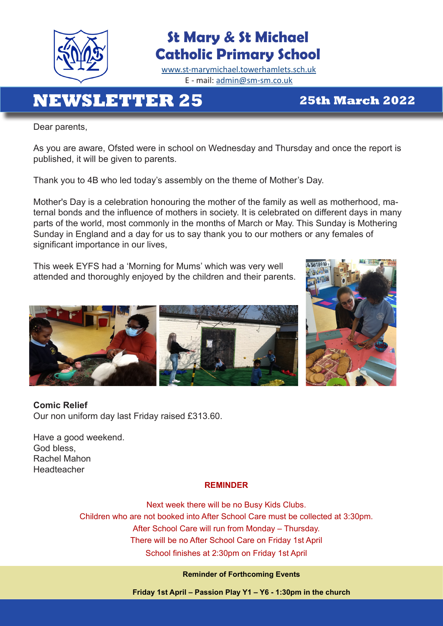

# **St Mary & St Michael Catholic Primary School**

[www.st-marymichael.towerhamlets.sch.uk](http://www.st-marymichael.towerhamlets.sch.uk)  E - mail: [admin@sm-sm.co.uk](http://admin@sm-sm.co.uk)

# **NEWSLETTER 25 25th March 2022**

Dear parents,

As you are aware, Ofsted were in school on Wednesday and Thursday and once the report is published, it will be given to parents.

Thank you to 4B who led today's assembly on the theme of Mother's Day.

Mother's Day is a celebration honouring the mother of the family as well as motherhood, maternal bonds and the influence of mothers in society. It is celebrated on different days in many parts of the world, most commonly in the months of March or May. This Sunday is Mothering Sunday in England and a day for us to say thank you to our mothers or any females of significant importance in our lives,

This week EYFS had a 'Morning for Mums' which was very well attended and thoroughly enjoyed by the children and their parents.





**Comic Relief**  Our non uniform day last Friday raised £313.60.

Have a good weekend. God bless, Rachel Mahon Headteacher

### **REMINDER**

Next week there will be no Busy Kids Clubs. Children who are not booked into After School Care must be collected at 3:30pm. After School Care will run from Monday – Thursday. There will be no After School Care on Friday 1st April School finishes at 2:30pm on Friday 1st April

#### **Reminder of Forthcoming Events**

**Friday 1st April – Passion Play Y1 – Y6 - 1:30pm in the church**